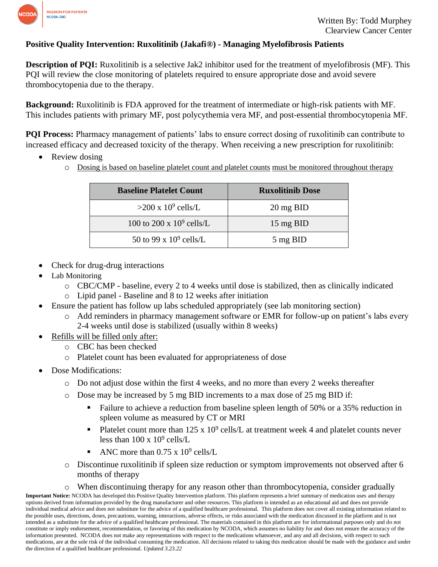

### **Positive Quality Intervention: Ruxolitinib (Jakafi®) - Managing Myelofibrosis Patients**

**Description of POI:** Ruxolitinib is a selective Jak2 inhibitor used for the treatment of myelofibrosis (MF). This PQI will review the close monitoring of platelets required to ensure appropriate dose and avoid severe thrombocytopenia due to the therapy.

**Background:** Ruxolitinib is FDA approved for the treatment of intermediate or high-risk patients with MF. This includes patients with primary MF, post polycythemia vera MF, and post-essential thrombocytopenia MF.

**PQI Process:** Pharmacy management of patients' labs to ensure correct dosing of ruxolitinib can contribute to increased efficacy and decreased toxicity of the therapy. When receiving a new prescription for ruxolitinib:

- Review dosing
	- o Dosing is based on baseline platelet count and platelet counts must be monitored throughout therapy

| <b>Baseline Platelet Count</b> | <b>Ruxolitinib Dose</b> |
|--------------------------------|-------------------------|
| $>200 \times 10^9$ cells/L     | 20 mg BID               |
| 100 to 200 x $10^9$ cells/L    | 15 mg BID               |
| 50 to 99 x $10^9$ cells/L      | 5 mg BID                |

- Check for drug-drug interactions
- Lab Monitoring
	- $\circ$  CBC/CMP baseline, every 2 to 4 weeks until dose is stabilized, then as clinically indicated
	- o Lipid panel Baseline and 8 to 12 weeks after initiation
- Ensure the patient has follow up labs scheduled appropriately (see lab monitoring section)
	- o Add reminders in pharmacy management software or EMR for follow-up on patient's labs every 2-4 weeks until dose is stabilized (usually within 8 weeks)
- Refills will be filled only after:
	- o CBC has been checked
	- o Platelet count has been evaluated for appropriateness of dose
- Dose Modifications:
	- o Do not adjust dose within the first 4 weeks, and no more than every 2 weeks thereafter
	- o Dose may be increased by 5 mg BID increments to a max dose of 25 mg BID if:
		- Failure to achieve a reduction from baseline spleen length of 50% or a 35% reduction in spleen volume as measured by CT or MRI
		- Platelet count more than  $125 \times 10^9$  cells/L at treatment week 4 and platelet counts never less than  $100 \times 10^9$  cells/L
		- ANC more than  $0.75 \times 10^9$  cells/L
	- o Discontinue ruxolitinib if spleen size reduction or symptom improvements not observed after 6 months of therapy

#### o When discontinuing therapy for any reason other than thrombocytopenia, consider gradually

**Important Notice:** NCODA has developed this Positive Quality Intervention platform. This platform represents a brief summary of medication uses and therapy options derived from information provided by the drug manufacturer and other resources. This platform is intended as an educational aid and does not provide individual medical advice and does not substitute for the advice of a qualified healthcare professional. This platform does not cover all existing information related to the possible uses, directions, doses, precautions, warning, interactions, adverse effects, or risks associated with the medication discussed in the platform and is not intended as a substitute for the advice of a qualified healthcare professional. The materials contained in this platform are for informational purposes only and do not constitute or imply endorsement, recommendation, or favoring of this medication by NCODA, which assumes no liability for and does not ensure the accuracy of the information presented. NCODA does not make any representations with respect to the medications whatsoever, and any and all decisions, with respect to such medications, are at the sole risk of the individual consuming the medication. All decisions related to taking this medication should be made with the guidance and under the direction of a qualified healthcare professional. *Updated 3.23.22*